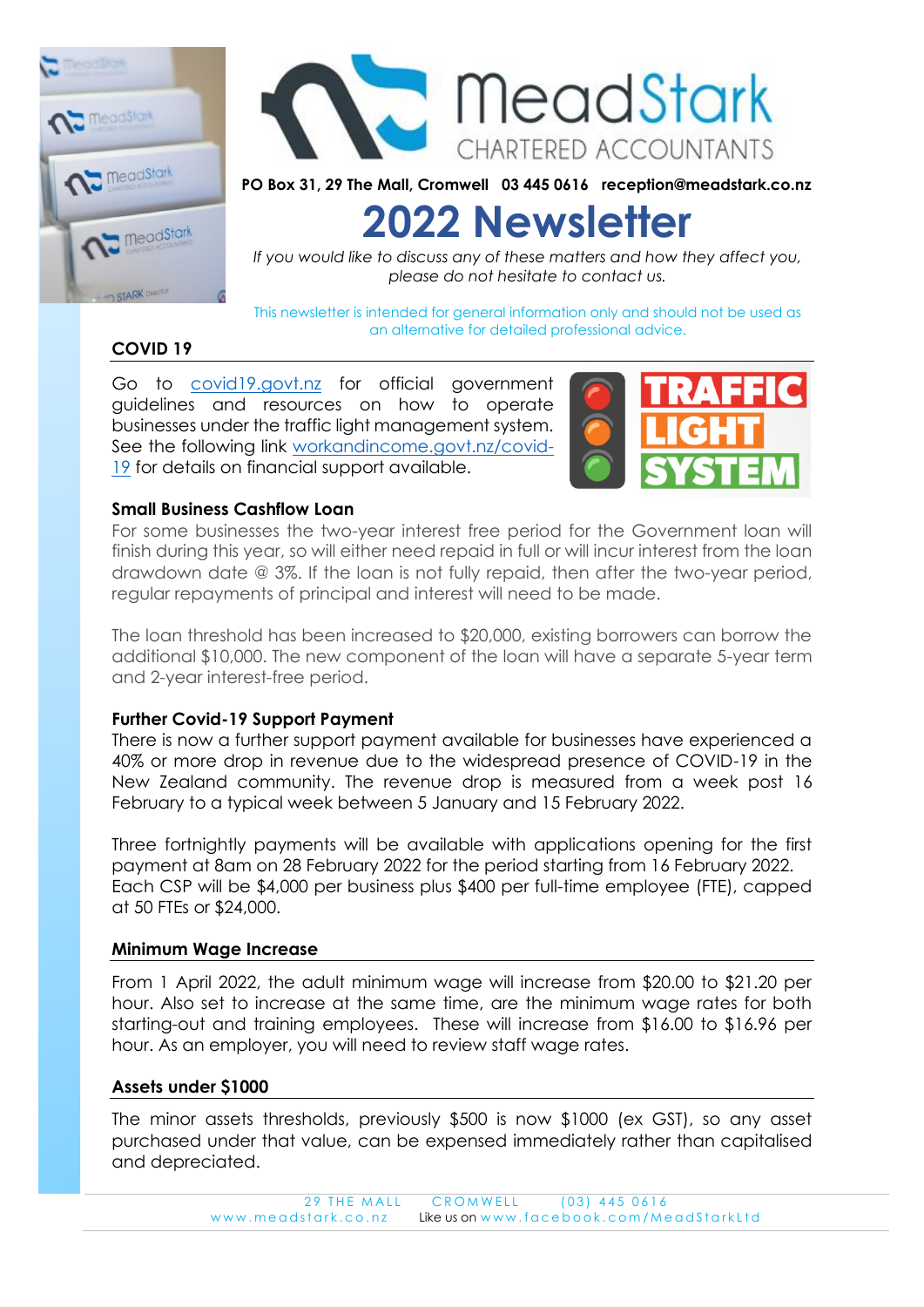



 **PO Box 31, 29 The Mall, Cromwell 03 445 0616 reception@meadstark.co.nz**

# **2022 Newsletter**

*If you would like to discuss any of these matters and how they affect you, please do not hesitate to contact us.*

This newsletter is intended for general information only and should not be used as an alternative for detailed professional advice.

## **COVID 19**

Go to [covid19.govt.nz](https://covid19.govt.nz/) for official government guidelines and resources on how to operate businesses under the traffic light management system. See the following link [workandincome.govt.nz/covid-](https://workandincome.govt.nz/covid-19/)[19](https://workandincome.govt.nz/covid-19/) for details on financial support available.



## **Small Business Cashflow Loan**

For some businesses the two-year interest free period for the Government loan will finish during this year, so will either need repaid in full or will incur interest from the loan drawdown date @ 3%. If the loan is not fully repaid, then after the two-year period, regular repayments of principal and interest will need to be made.

The loan threshold has been increased to \$20,000, existing borrowers can borrow the additional \$10,000. The new component of the loan will have a separate 5-year term and 2-year interest-free period.

## **Further Covid-19 Support Payment**

There is now a further support payment available for businesses have experienced a 40% or more drop in revenue due to the widespread presence of COVID-19 in the New Zealand community. The revenue drop is measured from a week post 16 February to a typical week between 5 January and 15 February 2022.

Three fortnightly payments will be available with applications opening for the first payment at 8am on 28 February 2022 for the period starting from 16 February 2022. Each CSP will be \$4,000 per business plus \$400 per full-time employee (FTE), capped at 50 FTEs or \$24,000.

## **Minimum Wage Increase**

From 1 April 2022, the adult minimum wage will increase from \$20.00 to \$21.20 per hour. Also set to increase at the same time, are the minimum wage rates for both starting-out and training employees. These will increase from \$16.00 to \$16.96 per hour. As an employer, you will need to review staff wage rates.

## **Assets under \$1000**

The minor assets thresholds, previously \$500 is now \$1000 (ex GST), so any asset purchased under that value, can be expensed immediately rather than capitalised and depreciated.

> 29 THE MALL CROMWELL (03) 445 0616 www.meadstark.co.nz Like us on www.facebook.com/MeadStarkLtd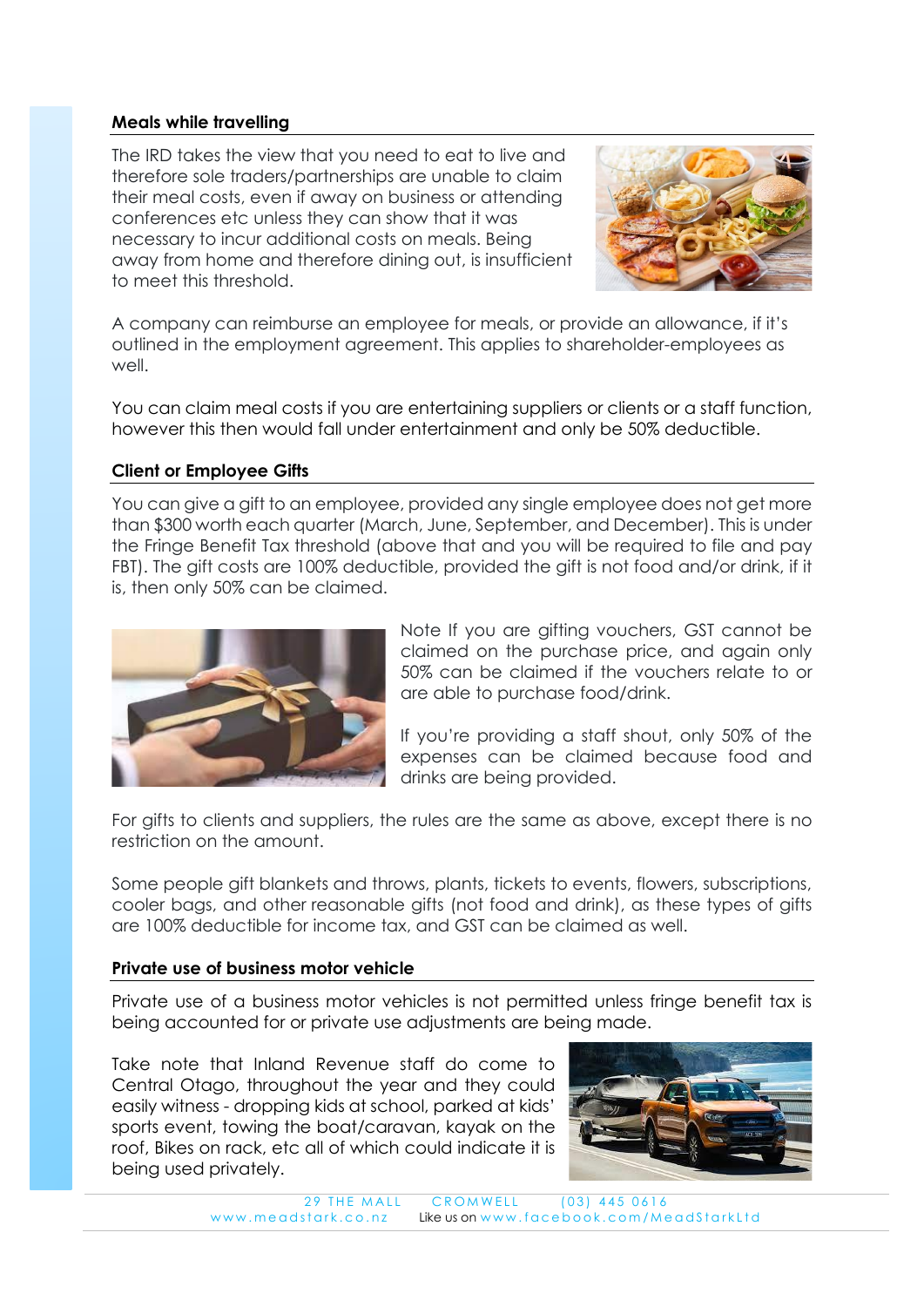#### **Meals while travelling**

The IRD takes the view that you need to eat to live and therefore sole traders/partnerships are unable to claim their meal costs, even if away on business or attending conferences etc unless they can show that it was necessary to incur additional costs on meals. Being away from home and therefore dining out, is insufficient to meet this threshold.



A company can reimburse an employee for meals, or provide an allowance, if it's outlined in the employment agreement. This applies to shareholder-employees as well.

You can claim meal costs if you are entertaining suppliers or clients or a staff function, however this then would fall under entertainment and only be 50% deductible.

## **Client or Employee Gifts**

You can give a gift to an employee, provided any single employee does not get more than \$300 worth each quarter (March, June, September, and December). This is under the Fringe Benefit Tax threshold (above that and you will be required to file and pay FBT). The gift costs are 100% deductible, provided the gift is not food and/or drink, if it is, then only 50% can be claimed.



Note If you are gifting vouchers, GST cannot be claimed on the purchase price, and again only 50% can be claimed if the vouchers relate to or are able to purchase food/drink.

If you're providing a staff shout, only 50% of the expenses can be claimed because food and drinks are being provided.

For gifts to clients and suppliers, the rules are the same as above, except there is no restriction on the amount.

Some people gift blankets and throws, plants, tickets to events, flowers, subscriptions, cooler bags, and other reasonable gifts (not food and drink), as these types of gifts are 100% deductible for income tax, and GST can be claimed as well.

## **Private use of business motor vehicle**

Private use of a business motor vehicles is not permitted unless fringe benefit tax is being accounted for or private use adjustments are being made.

Take note that Inland Revenue staff do come to Central Otago, throughout the year and they could easily witness - dropping kids at school, parked at kids' sports event, towing the boat/caravan, kayak on the roof, Bikes on rack, etc all of which could indicate it is being used privately.



29 THE MALL CROMWELL (03) 445 0616 www.meadstark.co.nz Like us on www.facebook.com/MeadStarkLtd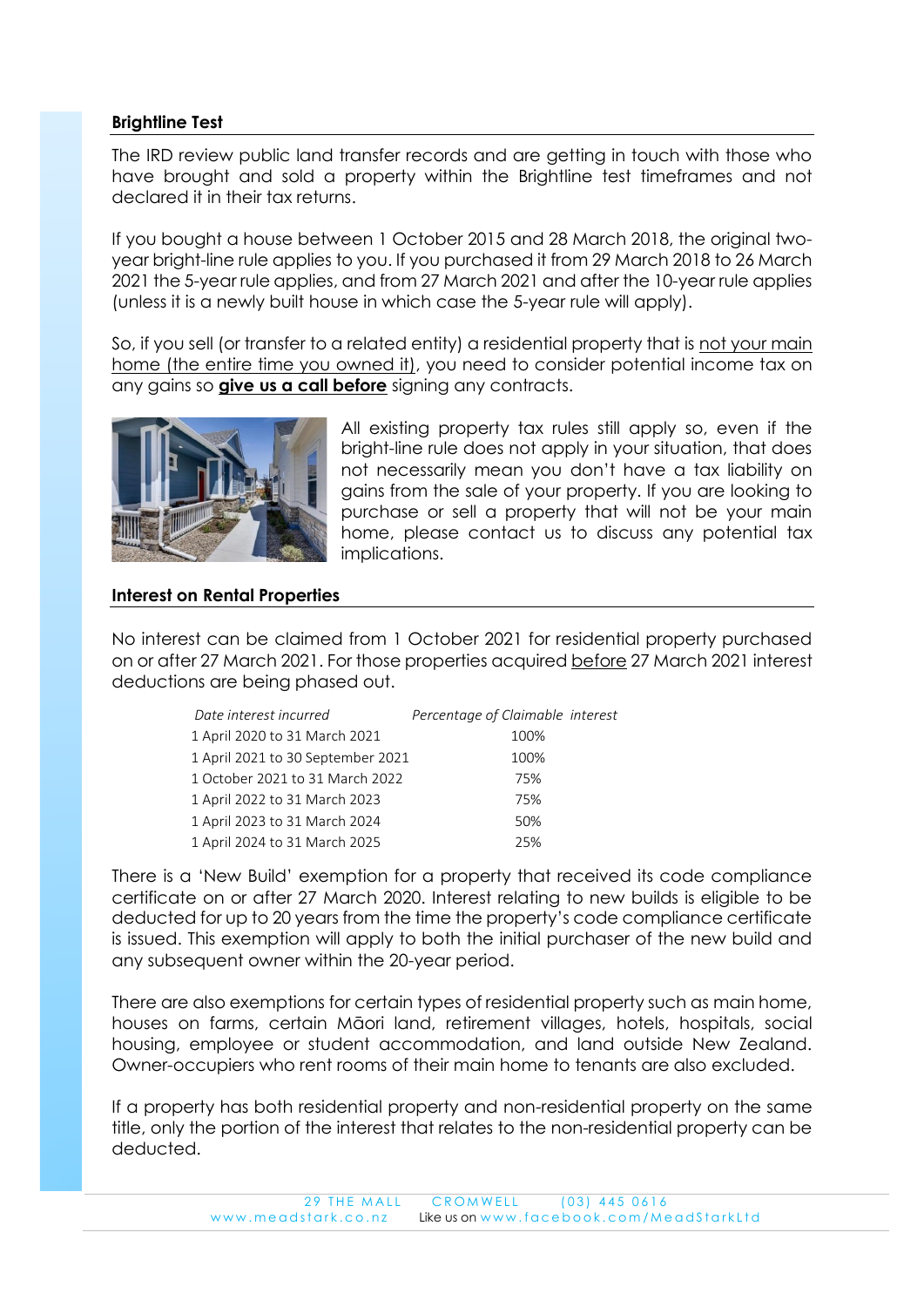#### **Brightline Test**

The IRD review public land transfer records and are getting in touch with those who have brought and sold a property within the Brightline test timeframes and not declared it in their tax returns.

If you bought a house between 1 October 2015 and 28 March 2018, the original twoyear bright-line rule applies to you. If you purchased it from 29 March 2018 to 26 March 2021 the 5-year rule applies, and from 27 March 2021 and after the 10-year rule applies (unless it is a newly built house in which case the 5-year rule will apply).

So, if you sell (or transfer to a related entity) a residential property that is not your main home (the entire time you owned it), you need to consider potential income tax on any gains so **give us a call before** signing any contracts.



All existing property tax rules still apply so, even if the bright-line rule does not apply in your situation, that does not necessarily mean you don't have a tax liability on gains from the sale of your property. If you are looking to purchase or sell a property that will not be your main home, please contact us to discuss any potential tax implications.

#### **Interest on Rental Properties**

No interest can be claimed from 1 October 2021 for residential property purchased on or after 27 March 2021. For those properties acquired before 27 March 2021 interest deductions are being phased out.

| Date interest incurred            | Percentage of Claimable interest |
|-----------------------------------|----------------------------------|
| 1 April 2020 to 31 March 2021     | 100%                             |
| 1 April 2021 to 30 September 2021 | 100%                             |
| 1 October 2021 to 31 March 2022   | 75%                              |
| 1 April 2022 to 31 March 2023     | 75%                              |
| 1 April 2023 to 31 March 2024     | 50%                              |
| 1 April 2024 to 31 March 2025     | 25%                              |

There is a 'New Build' exemption for a property that received its code compliance certificate on or after 27 March 2020. Interest relating to new builds is eligible to be deducted for up to 20 years from the time the property's code compliance certificate is issued. This exemption will apply to both the initial purchaser of the new build and any subsequent owner within the 20-year period.

There are also exemptions for certain types of residential property such as main home, houses on farms, certain Māori land, retirement villages, hotels, hospitals, social housing, employee or student accommodation, and land outside New Zealand. Owner-occupiers who rent rooms of their main home to tenants are also excluded.

If a property has both residential property and non-residential property on the same title, only the portion of the interest that relates to the non-residential property can be deducted.